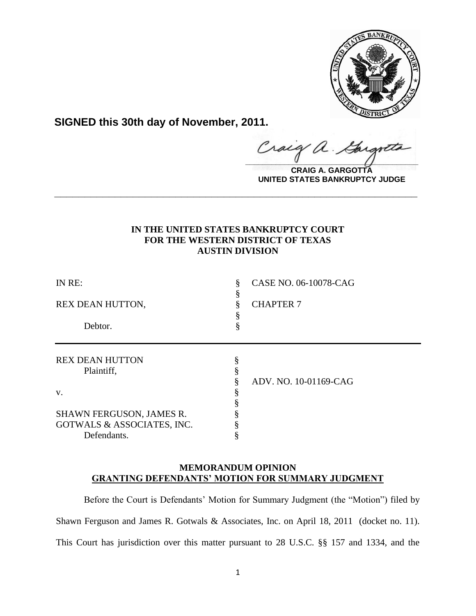

**SIGNED this 30th day of November, 2011.**

 $\alpha$ .  $\frac{1}{2}$ 

**CRAIG A. GARGOTTA UNITED STATES BANKRUPTCY JUDGE**

# **IN THE UNITED STATES BANKRUPTCY COURT FOR THE WESTERN DISTRICT OF TEXAS AUSTIN DIVISION**

**\_\_\_\_\_\_\_\_\_\_\_\_\_\_\_\_\_\_\_\_\_\_\_\_\_\_\_\_\_\_\_\_\_\_\_\_\_\_\_\_\_\_\_\_\_\_\_\_\_\_\_\_\_\_\_\_\_\_\_\_**

| IN RE:                               | 8<br>ş | CASE NO. 06-10078-CAG |
|--------------------------------------|--------|-----------------------|
| REX DEAN HUTTON,                     |        | <b>CHAPTER 7</b>      |
|                                      |        |                       |
| Debtor.                              |        |                       |
| <b>REX DEAN HUTTON</b><br>Plaintiff, |        |                       |
|                                      |        | ADV. NO. 10-01169-CAG |
| V.                                   |        |                       |
|                                      |        |                       |
| SHAWN FERGUSON, JAMES R.             |        |                       |
| GOTWALS & ASSOCIATES, INC.           |        |                       |
| Defendants.                          |        |                       |

# **MEMORANDUM OPINION GRANTING DEFENDANTS' MOTION FOR SUMMARY JUDGMENT**

Before the Court is Defendants' Motion for Summary Judgment (the "Motion") filed by Shawn Ferguson and James R. Gotwals & Associates, Inc. on April 18, 2011 (docket no. 11). This Court has jurisdiction over this matter pursuant to 28 U.S.C. §§ 157 and 1334, and the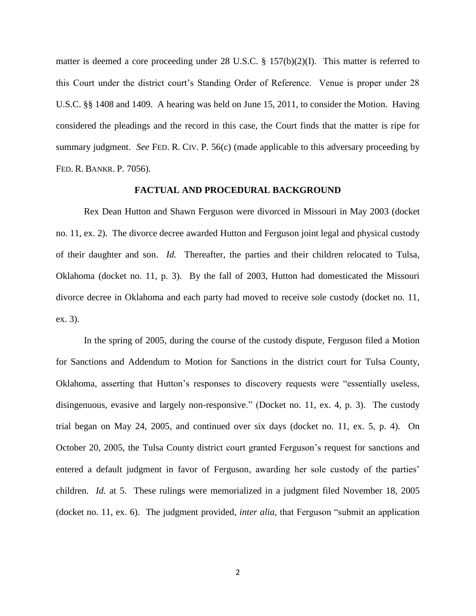matter is deemed a core proceeding under 28 U.S.C. § 157(b)(2)(I). This matter is referred to this Court under the district court's Standing Order of Reference. Venue is proper under 28 U.S.C. §§ 1408 and 1409.A hearing was held on June 15, 2011, to consider the Motion. Having considered the pleadings and the record in this case, the Court finds that the matter is ripe for summary judgment. *See* FED. R. CIV. P. 56(c) (made applicable to this adversary proceeding by FED. R. BANKR. P. 7056).

#### **FACTUAL AND PROCEDURAL BACKGROUND**

Rex Dean Hutton and Shawn Ferguson were divorced in Missouri in May 2003 (docket no. 11, ex. 2). The divorce decree awarded Hutton and Ferguson joint legal and physical custody of their daughter and son. *Id.* Thereafter, the parties and their children relocated to Tulsa, Oklahoma (docket no. 11, p. 3). By the fall of 2003, Hutton had domesticated the Missouri divorce decree in Oklahoma and each party had moved to receive sole custody (docket no. 11, ex. 3).

In the spring of 2005, during the course of the custody dispute, Ferguson filed a Motion for Sanctions and Addendum to Motion for Sanctions in the district court for Tulsa County, Oklahoma, asserting that Hutton's responses to discovery requests were "essentially useless, disingenuous, evasive and largely non-responsive." (Docket no. 11, ex. 4, p. 3). The custody trial began on May 24, 2005, and continued over six days (docket no. 11, ex. 5, p. 4). On October 20, 2005, the Tulsa County district court granted Ferguson's request for sanctions and entered a default judgment in favor of Ferguson, awarding her sole custody of the parties' children. *Id.* at 5. These rulings were memorialized in a judgment filed November 18, 2005 (docket no. 11, ex. 6). The judgment provided, *inter alia*, that Ferguson "submit an application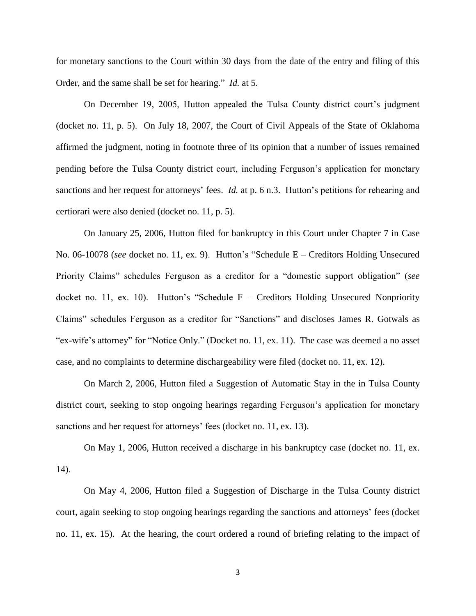for monetary sanctions to the Court within 30 days from the date of the entry and filing of this Order, and the same shall be set for hearing." *Id.* at 5.

On December 19, 2005, Hutton appealed the Tulsa County district court's judgment (docket no. 11, p. 5). On July 18, 2007, the Court of Civil Appeals of the State of Oklahoma affirmed the judgment, noting in footnote three of its opinion that a number of issues remained pending before the Tulsa County district court, including Ferguson's application for monetary sanctions and her request for attorneys' fees. *Id.* at p. 6 n.3. Hutton's petitions for rehearing and certiorari were also denied (docket no. 11, p. 5).

On January 25, 2006, Hutton filed for bankruptcy in this Court under Chapter 7 in Case No. 06-10078 (*see* docket no. 11, ex. 9). Hutton's "Schedule E – Creditors Holding Unsecured Priority Claims" schedules Ferguson as a creditor for a "domestic support obligation" (*see* docket no. 11, ex. 10). Hutton's "Schedule  $F - C$ reditors Holding Unsecured Nonpriority Claims" schedules Ferguson as a creditor for "Sanctions" and discloses James R. Gotwals as "ex-wife's attorney" for "Notice Only." (Docket no. 11, ex. 11). The case was deemed a no asset case, and no complaints to determine dischargeability were filed (docket no. 11, ex. 12).

On March 2, 2006, Hutton filed a Suggestion of Automatic Stay in the in Tulsa County district court, seeking to stop ongoing hearings regarding Ferguson's application for monetary sanctions and her request for attorneys' fees (docket no. 11, ex. 13).

On May 1, 2006, Hutton received a discharge in his bankruptcy case (docket no. 11, ex. 14).

On May 4, 2006, Hutton filed a Suggestion of Discharge in the Tulsa County district court, again seeking to stop ongoing hearings regarding the sanctions and attorneys' fees (docket no. 11, ex. 15). At the hearing, the court ordered a round of briefing relating to the impact of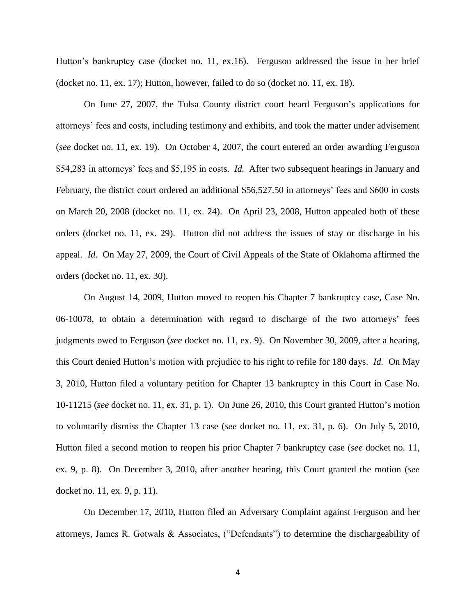Hutton's bankruptcy case (docket no. 11, ex.16). Ferguson addressed the issue in her brief (docket no. 11, ex. 17); Hutton, however, failed to do so (docket no. 11, ex. 18).

On June 27, 2007, the Tulsa County district court heard Ferguson's applications for attorneys' fees and costs, including testimony and exhibits, and took the matter under advisement (*see* docket no. 11, ex. 19). On October 4, 2007, the court entered an order awarding Ferguson \$54,283 in attorneys' fees and \$5,195 in costs. *Id.* After two subsequent hearings in January and February, the district court ordered an additional \$56,527.50 in attorneys' fees and \$600 in costs on March 20, 2008 (docket no. 11, ex. 24). On April 23, 2008, Hutton appealed both of these orders (docket no. 11, ex. 29). Hutton did not address the issues of stay or discharge in his appeal. *Id.* On May 27, 2009, the Court of Civil Appeals of the State of Oklahoma affirmed the orders (docket no. 11, ex. 30).

On August 14, 2009, Hutton moved to reopen his Chapter 7 bankruptcy case, Case No. 06-10078, to obtain a determination with regard to discharge of the two attorneys' fees judgments owed to Ferguson (*see* docket no. 11, ex. 9). On November 30, 2009, after a hearing, this Court denied Hutton's motion with prejudice to his right to refile for 180 days. *Id.* On May 3, 2010, Hutton filed a voluntary petition for Chapter 13 bankruptcy in this Court in Case No. 10-11215 (*see* docket no. 11, ex. 31, p. 1). On June 26, 2010, this Court granted Hutton's motion to voluntarily dismiss the Chapter 13 case (*see* docket no. 11, ex. 31, p. 6). On July 5, 2010, Hutton filed a second motion to reopen his prior Chapter 7 bankruptcy case (*see* docket no. 11, ex. 9, p. 8). On December 3, 2010, after another hearing, this Court granted the motion (*see* docket no. 11, ex. 9, p. 11).

On December 17, 2010, Hutton filed an Adversary Complaint against Ferguson and her attorneys, James R. Gotwals  $\&$  Associates, ("Defendants") to determine the dischargeability of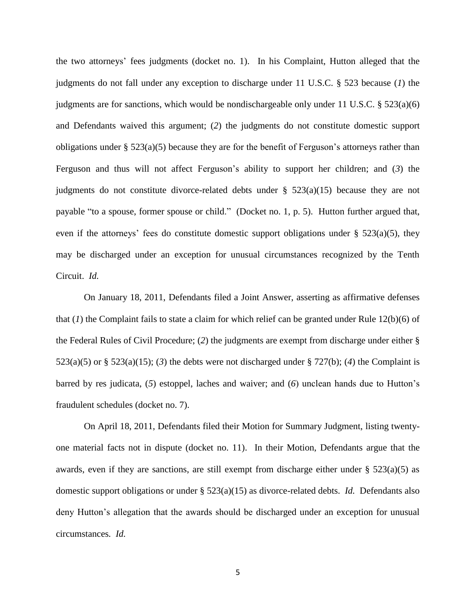the two attorneys' fees judgments (docket no. 1). In his Complaint, Hutton alleged that the judgments do not fall under any exception to discharge under 11 U.S.C. § 523 because (*1*) the judgments are for sanctions, which would be nondischargeable only under 11 U.S.C.  $\S 523(a)(6)$ and Defendants waived this argument; (*2*) the judgments do not constitute domestic support obligations under §  $523(a)(5)$  because they are for the benefit of Ferguson's attorneys rather than Ferguson and thus will not affect Ferguson's ability to support her children; and (*3*) the judgments do not constitute divorce-related debts under  $\S$  523(a)(15) because they are not payable "to a spouse, former spouse or child." (Docket no. 1, p. 5). Hutton further argued that, even if the attorneys' fees do constitute domestic support obligations under  $\S$  523(a)(5), they may be discharged under an exception for unusual circumstances recognized by the Tenth Circuit. *Id.*

On January 18, 2011, Defendants filed a Joint Answer, asserting as affirmative defenses that  $(1)$  the Complaint fails to state a claim for which relief can be granted under Rule 12(b)(6) of the Federal Rules of Civil Procedure; (*2*) the judgments are exempt from discharge under either § 523(a)(5) or  $\S$  523(a)(15); (3) the debts were not discharged under  $\S$  727(b); (4) the Complaint is barred by res judicata, (*5*) estoppel, laches and waiver; and (*6*) unclean hands due to Hutton's fraudulent schedules (docket no. 7).

On April 18, 2011, Defendants filed their Motion for Summary Judgment, listing twentyone material facts not in dispute (docket no. 11). In their Motion, Defendants argue that the awards, even if they are sanctions, are still exempt from discharge either under  $\S$  523(a)(5) as domestic support obligations or under § 523(a)(15) as divorce-related debts. *Id.* Defendants also deny Hutton's allegation that the awards should be discharged under an exception for unusual circumstances*. Id.*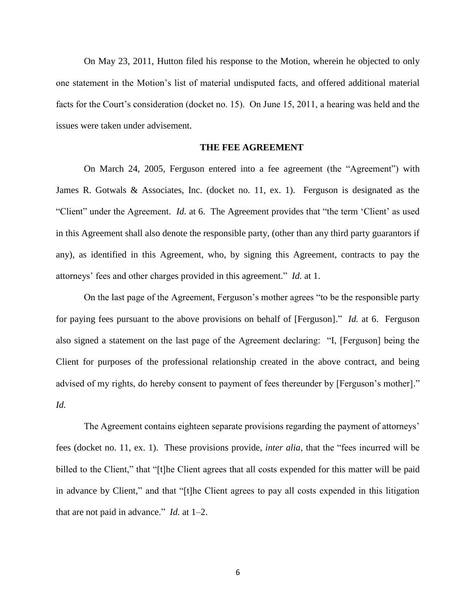On May 23, 2011, Hutton filed his response to the Motion, wherein he objected to only one statement in the Motion's list of material undisputed facts, and offered additional material facts for the Court's consideration (docket no. 15). On June 15, 2011, a hearing was held and the issues were taken under advisement.

# **THE FEE AGREEMENT**

On March 24, 2005, Ferguson entered into a fee agreement (the "Agreement") with James R. Gotwals & Associates, Inc. (docket no. 11, ex. 1). Ferguson is designated as the "Client" under the Agreement. *Id.* at 6. The Agreement provides that "the term 'Client' as used in this Agreement shall also denote the responsible party, (other than any third party guarantors if any), as identified in this Agreement, who, by signing this Agreement, contracts to pay the attorneys' fees and other charges provided in this agreement." *Id.* at 1.

On the last page of the Agreement, Ferguson's mother agrees "to be the responsible party for paying fees pursuant to the above provisions on behalf of [Ferguson]." *Id.* at 6. Ferguson also signed a statement on the last page of the Agreement declaring: "I, [Ferguson] being the Client for purposes of the professional relationship created in the above contract, and being advised of my rights, do hereby consent to payment of fees thereunder by [Ferguson's mother]." *Id.*

The Agreement contains eighteen separate provisions regarding the payment of attorneys' fees (docket no. 11, ex. 1). These provisions provide, *inter alia*, that the "fees incurred will be billed to the Client," that "[t]he Client agrees that all costs expended for this matter will be paid in advance by Client," and that "[t]he Client agrees to pay all costs expended in this litigation that are not paid in advance." *Id.* at  $1-2$ .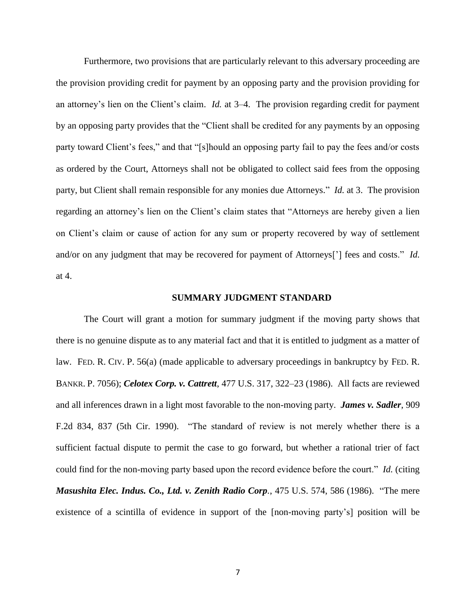Furthermore, two provisions that are particularly relevant to this adversary proceeding are the provision providing credit for payment by an opposing party and the provision providing for an attorney's lien on the Client's claim. *Id.* at 3–4. The provision regarding credit for payment by an opposing party provides that the "Client shall be credited for any payments by an opposing party toward Client's fees," and that "[s]hould an opposing party fail to pay the fees and/or costs as ordered by the Court, Attorneys shall not be obligated to collect said fees from the opposing party, but Client shall remain responsible for any monies due Attorneys." *Id.* at 3. The provision regarding an attorney's lien on the Client's claim states that "Attorneys are hereby given a lien on Client's claim or cause of action for any sum or property recovered by way of settlement and/or on any judgment that may be recovered for payment of Attorneys<sup>[']</sup> fees and costs." *Id.* at 4.

#### **SUMMARY JUDGMENT STANDARD**

The Court will grant a motion for summary judgment if the moving party shows that there is no genuine dispute as to any material fact and that it is entitled to judgment as a matter of law. FED. R. CIV. P. 56(a) (made applicable to adversary proceedings in bankruptcy by FED. R. BANKR. P. 7056); *Celotex Corp. v. Cattrett*, 477 U.S. 317, 322–23 (1986). All facts are reviewed and all inferences drawn in a light most favorable to the non-moving party. *James v. Sadler*, 909 F.2d 834, 837 (5th Cir. 1990). "The standard of review is not merely whether there is a sufficient factual dispute to permit the case to go forward, but whether a rational trier of fact could find for the non-moving party based upon the record evidence before the court." *Id.* (citing *Masushita Elec. Indus. Co., Ltd. v. Zenith Radio Corp., 475 U.S. 574, 586 (1986).* "The mere existence of a scintilla of evidence in support of the [non-moving party's] position will be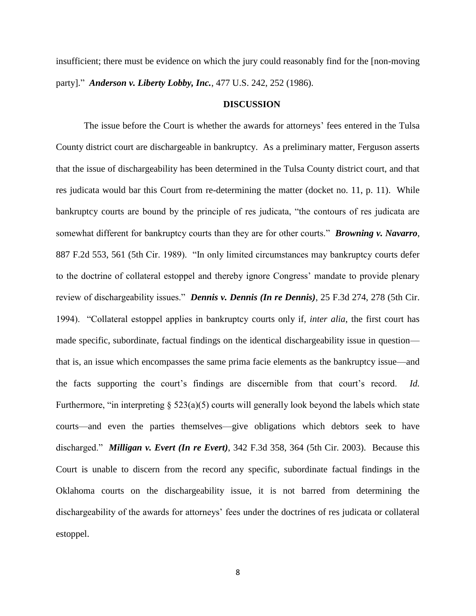insufficient; there must be evidence on which the jury could reasonably find for the [non-moving party]." *Anderson v. Liberty Lobby, Inc., 477 U.S. 242, 252 (1986).* 

#### **DISCUSSION**

The issue before the Court is whether the awards for attorneys' fees entered in the Tulsa County district court are dischargeable in bankruptcy. As a preliminary matter, Ferguson asserts that the issue of dischargeability has been determined in the Tulsa County district court, and that res judicata would bar this Court from re-determining the matter (docket no. 11, p. 11). While bankruptcy courts are bound by the principle of res judicata, "the contours of res judicata are somewhat different for bankruptcy courts than they are for other courts." **Browning v. Navarro**, 887 F.2d 553, 561 (5th Cir. 1989). "In only limited circumstances may bankruptcy courts defer to the doctrine of collateral estoppel and thereby ignore Congress' mandate to provide plenary review of dischargeability issues." *Dennis v. Dennis (In re Dennis)*, 25 F.3d 274, 278 (5th Cir. 1994). "Collateral estoppel applies in bankruptcy courts only if, *inter alia*, the first court has made specific, subordinate, factual findings on the identical dischargeability issue in question that is, an issue which encompasses the same prima facie elements as the bankruptcy issue—and the facts supporting the court's findings are discernible from that court's record. *Id.* Furthermore, "in interpreting  $\S$  523(a)(5) courts will generally look beyond the labels which state courts—and even the parties themselves—give obligations which debtors seek to have discharged." *Milligan v. Evert (In re Evert)*, 342 F.3d 358, 364 (5th Cir. 2003). Because this Court is unable to discern from the record any specific, subordinate factual findings in the Oklahoma courts on the dischargeability issue, it is not barred from determining the dischargeability of the awards for attorneys' fees under the doctrines of res judicata or collateral estoppel.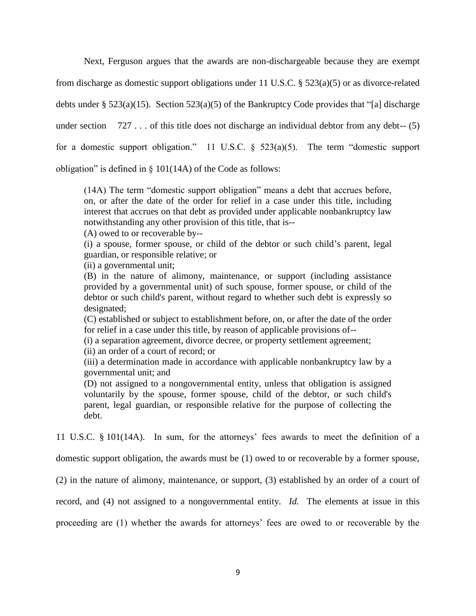Next, Ferguson argues that the awards are non-dischargeable because they are exempt

from discharge as domestic support obligations under 11 U.S.C. § 523(a)(5) or as divorce-related

debts under § 523(a)(15). Section 523(a)(5) of the Bankruptcy Code provides that "[a] discharge

under section  $727...$  of this title does not discharge an individual debtor from any debt--  $(5)$ 

for a domestic support obligation." 11 U.S.C.  $\S$  523(a)(5). The term "domestic support

obligation" is defined in  $\S$  101(14A) of the Code as follows:

(14A) The term "domestic support obligation" means a debt that accrues before, on, or after the date of the order for relief in a case under this title, including interest that accrues on that debt as provided under applicable nonbankruptcy law notwithstanding any other provision of this title, that is--

(A) owed to or recoverable by--

(i) a spouse, former spouse, or child of the debtor or such child's parent, legal guardian, or responsible relative; or

(ii) a governmental unit;

(B) in the nature of alimony, maintenance, or support (including assistance provided by a governmental unit) of such spouse, former spouse, or child of the debtor or such child's parent, without regard to whether such debt is expressly so designated;

(C) established or subject to establishment before, on, or after the date of the order for relief in a case under this title, by reason of applicable provisions of--

(i) a separation agreement, divorce decree, or property settlement agreement;

(ii) an order of a court of record; or

(iii) a determination made in accordance with applicable nonbankruptcy law by a governmental unit; and

(D) not assigned to a nongovernmental entity, unless that obligation is assigned voluntarily by the spouse, former spouse, child of the debtor, or such child's parent, legal guardian, or responsible relative for the purpose of collecting the debt.

11 U.S.C. § 101(14A). In sum, for the attorneys' fees awards to meet the definition of a

domestic support obligation, the awards must be (1) owed to or recoverable by a former spouse,

(2) in the nature of alimony, maintenance, or support, (3) established by an order of a court of

record, and (4) not assigned to a nongovernmental entity. *Id.* The elements at issue in this

proceeding are (1) whether the awards for attorneys' fees are owed to or recoverable by the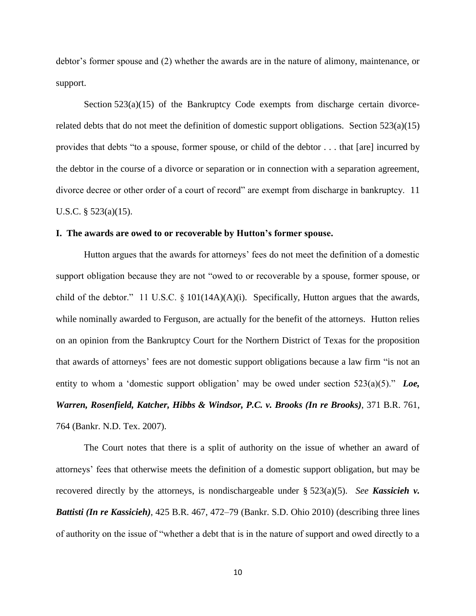debtor's former spouse and (2) whether the awards are in the nature of alimony, maintenance, or support.

Section 523(a)(15) of the Bankruptcy Code exempts from discharge certain divorcerelated debts that do not meet the definition of domestic support obligations. Section  $523(a)(15)$ provides that debts "to a spouse, former spouse, or child of the debtor  $\dots$  that [are] incurred by the debtor in the course of a divorce or separation or in connection with a separation agreement, divorce decree or other order of a court of record" are exempt from discharge in bankruptcy. 11 U.S.C. § 523(a)(15).

## **I. The awards are owed to or recoverable by Hutton's former spouse.**

Hutton argues that the awards for attorneys' fees do not meet the definition of a domestic support obligation because they are not "owed to or recoverable by a spouse, former spouse, or child of the debtor." 11 U.S.C.  $\S$  101(14A)(A)(i). Specifically, Hutton argues that the awards, while nominally awarded to Ferguson, are actually for the benefit of the attorneys. Hutton relies on an opinion from the Bankruptcy Court for the Northern District of Texas for the proposition that awards of attorneys' fees are not domestic support obligations because a law firm "is not an entity to whom a 'domestic support obligation' may be owed under section  $523(a)(5)$ ." *Loe, Warren, Rosenfield, Katcher, Hibbs & Windsor, P.C. v. Brooks (In re Brooks)*, 371 B.R. 761, 764 (Bankr. N.D. Tex. 2007).

The Court notes that there is a split of authority on the issue of whether an award of attorneys' fees that otherwise meets the definition of a domestic support obligation, but may be recovered directly by the attorneys, is nondischargeable under § 523(a)(5). *See Kassicieh v. Battisti (In re Kassicieh)*, 425 B.R. 467, 472–79 (Bankr. S.D. Ohio 2010) (describing three lines of authority on the issue of "whether a debt that is in the nature of support and owed directly to a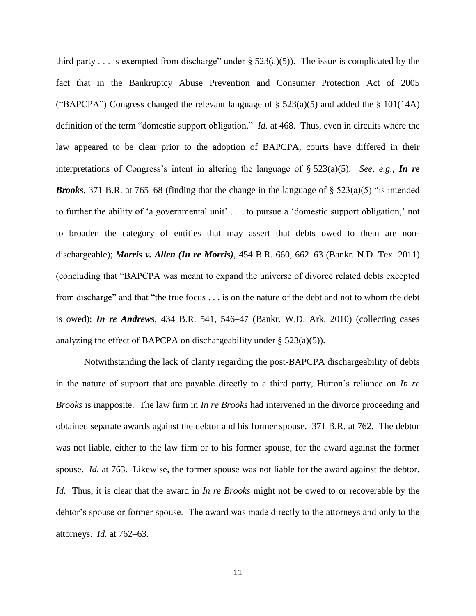third party . . . is exempted from discharge" under  $\S$  523(a)(5)). The issue is complicated by the fact that in the Bankruptcy Abuse Prevention and Consumer Protection Act of 2005 ("BAPCPA") Congress changed the relevant language of  $\S 523(a)(5)$  and added the  $\S 101(14A)$ definition of the term "domestic support obligation." *Id.* at 468. Thus, even in circuits where the law appeared to be clear prior to the adoption of BAPCPA, courts have differed in their interpretations of Congress's intent in altering the language of § 523(a)(5). *See, e.g.*, *In re Brooks*, 371 B.R. at 765–68 (finding that the change in the language of  $\S$  523(a)(5) "is intended to further the ability of 'a governmental unit' . . . to pursue a 'domestic support obligation,' not to broaden the category of entities that may assert that debts owed to them are nondischargeable); *Morris v. Allen (In re Morris)*, 454 B.R. 660, 662–63 (Bankr. N.D. Tex. 2011) (concluding that ―BAPCPA was meant to expand the universe of divorce related debts excepted from discharge" and that "the true focus . . . is on the nature of the debt and not to whom the debt is owed); *In re Andrews*, 434 B.R. 541, 546–47 (Bankr. W.D. Ark. 2010) (collecting cases analyzing the effect of BAPCPA on dischargeability under  $\S$  523(a)(5)).

Notwithstanding the lack of clarity regarding the post-BAPCPA dischargeability of debts in the nature of support that are payable directly to a third party, Hutton's reliance on *In re Brooks* is inapposite. The law firm in *In re Brooks* had intervened in the divorce proceeding and obtained separate awards against the debtor and his former spouse. 371 B.R. at 762. The debtor was not liable, either to the law firm or to his former spouse, for the award against the former spouse. *Id.* at 763. Likewise, the former spouse was not liable for the award against the debtor. *Id.* Thus, it is clear that the award in *In re Brooks* might not be owed to or recoverable by the debtor's spouse or former spouse. The award was made directly to the attorneys and only to the attorneys. *Id.* at 762–63.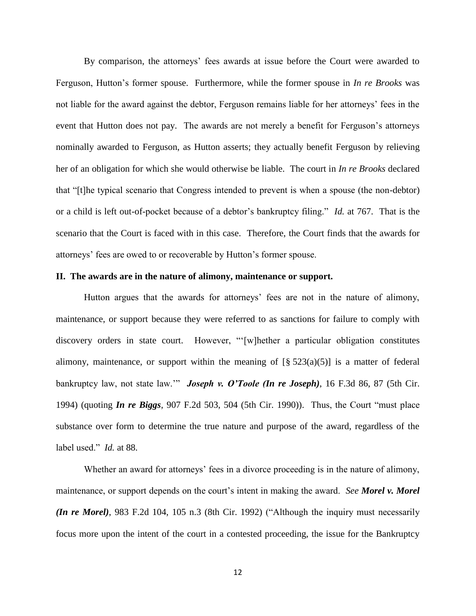By comparison, the attorneys' fees awards at issue before the Court were awarded to Ferguson, Hutton's former spouse. Furthermore, while the former spouse in *In re Brooks* was not liable for the award against the debtor, Ferguson remains liable for her attorneys' fees in the event that Hutton does not pay. The awards are not merely a benefit for Ferguson's attorneys nominally awarded to Ferguson, as Hutton asserts; they actually benefit Ferguson by relieving her of an obligation for which she would otherwise be liable. The court in *In re Brooks* declared that "[t]he typical scenario that Congress intended to prevent is when a spouse (the non-debtor) or a child is left out-of-pocket because of a debtor's bankruptcy filing." *Id.* at 767. That is the scenario that the Court is faced with in this case. Therefore, the Court finds that the awards for attorneys' fees are owed to or recoverable by Hutton's former spouse.

## **II. The awards are in the nature of alimony, maintenance or support.**

Hutton argues that the awards for attorneys' fees are not in the nature of alimony, maintenance, or support because they were referred to as sanctions for failure to comply with discovery orders in state court. However, "[w]hether a particular obligation constitutes alimony, maintenance, or support within the meaning of  $[\S$  523(a)(5)] is a matter of federal bankruptcy law, not state law." **Joseph v. O'Toole (In re Joseph)**, 16 F.3d 86, 87 (5th Cir. 1994) (quoting *In re Biggs*, 907 F.2d 503, 504 (5th Cir. 1990)). Thus, the Court "must place substance over form to determine the true nature and purpose of the award, regardless of the label used." *Id.* at 88.

Whether an award for attorneys' fees in a divorce proceeding is in the nature of alimony, maintenance, or support depends on the court's intent in making the award. *See Morel v. Morel (In re Morel)*, 983 F.2d 104, 105 n.3 (8th Cir. 1992) ("Although the inquiry must necessarily focus more upon the intent of the court in a contested proceeding, the issue for the Bankruptcy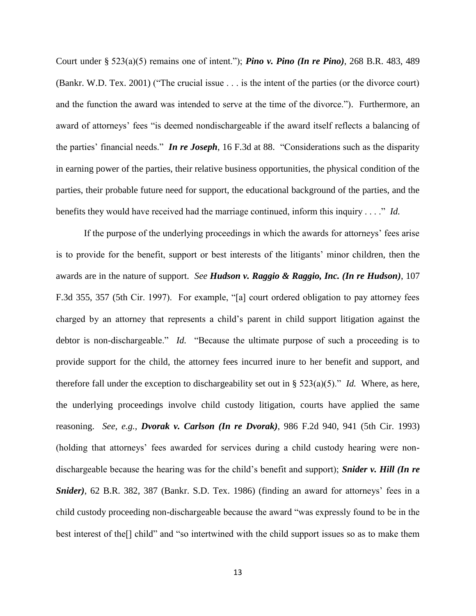Court under § 523(a)(5) remains one of intent.‖); *Pino v. Pino (In re Pino)*, 268 B.R. 483, 489 (Bankr. W.D. Tex. 2001) ("The crucial issue  $\ldots$  is the intent of the parties (or the divorce court) and the function the award was intended to serve at the time of the divorce."). Furthermore, an award of attorneys' fees "is deemed nondischargeable if the award itself reflects a balancing of the parties' financial needs." *In re Joseph*, 16 F.3d at 88. "Considerations such as the disparity in earning power of the parties, their relative business opportunities, the physical condition of the parties, their probable future need for support, the educational background of the parties, and the benefits they would have received had the marriage continued, inform this inquiry  $\dots$ ." *Id.* 

If the purpose of the underlying proceedings in which the awards for attorneys' fees arise is to provide for the benefit, support or best interests of the litigants' minor children, then the awards are in the nature of support. *See Hudson v. Raggio & Raggio, Inc. (In re Hudson)*, 107 F.3d 355, 357 (5th Cir. 1997). For example, "[a] court ordered obligation to pay attorney fees charged by an attorney that represents a child's parent in child support litigation against the debtor is non-dischargeable." *Id.* "Because the ultimate purpose of such a proceeding is to provide support for the child, the attorney fees incurred inure to her benefit and support, and therefore fall under the exception to dischargeability set out in §  $523(a)(5)$ ." *Id.* Where, as here, the underlying proceedings involve child custody litigation, courts have applied the same reasoning. *See, e.g., Dvorak v. Carlson (In re Dvorak)*, 986 F.2d 940, 941 (5th Cir. 1993) (holding that attorneys' fees awarded for services during a child custody hearing were nondischargeable because the hearing was for the child's benefit and support); *Snider v. Hill (In re Snider)*, 62 B.R. 382, 387 (Bankr. S.D. Tex. 1986) (finding an award for attorneys' fees in a child custody proceeding non-dischargeable because the award "was expressly found to be in the best interest of the [] child" and "so intertwined with the child support issues so as to make them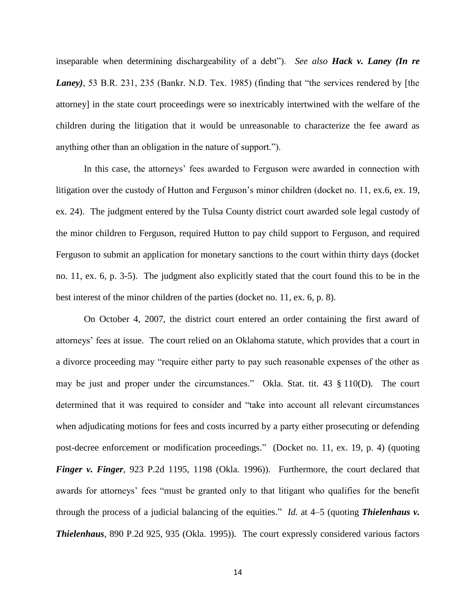inseparable when determining dischargeability of a debt"). *See also Hack v. Laney (In re Laney*), 53 B.R. 231, 235 (Bankr. N.D. Tex. 1985) (finding that "the services rendered by [the attorney] in the state court proceedings were so inextricably intertwined with the welfare of the children during the litigation that it would be unreasonable to characterize the fee award as anything other than an obligation in the nature of support.").

In this case, the attorneys' fees awarded to Ferguson were awarded in connection with litigation over the custody of Hutton and Ferguson's minor children (docket no. 11, ex.6, ex. 19, ex. 24). The judgment entered by the Tulsa County district court awarded sole legal custody of the minor children to Ferguson, required Hutton to pay child support to Ferguson, and required Ferguson to submit an application for monetary sanctions to the court within thirty days (docket no. 11, ex. 6, p. 3-5). The judgment also explicitly stated that the court found this to be in the best interest of the minor children of the parties (docket no. 11, ex. 6, p. 8).

On October 4, 2007, the district court entered an order containing the first award of attorneys' fees at issue. The court relied on an Oklahoma statute, which provides that a court in a divorce proceeding may "require either party to pay such reasonable expenses of the other as may be just and proper under the circumstances." Okla. Stat. tit. 43 § 110(D). The court determined that it was required to consider and "take into account all relevant circumstances when adjudicating motions for fees and costs incurred by a party either prosecuting or defending post-decree enforcement or modification proceedings." (Docket no. 11, ex. 19, p. 4) (quoting *Finger v. Finger*, 923 P.2d 1195, 1198 (Okla. 1996)). Furthermore, the court declared that awards for attorneys' fees "must be granted only to that litigant who qualifies for the benefit through the process of a judicial balancing of the equities." *Id.* at  $4-5$  (quoting **Thielenhaus v.** *Thielenhaus*, 890 P.2d 925, 935 (Okla. 1995)). The court expressly considered various factors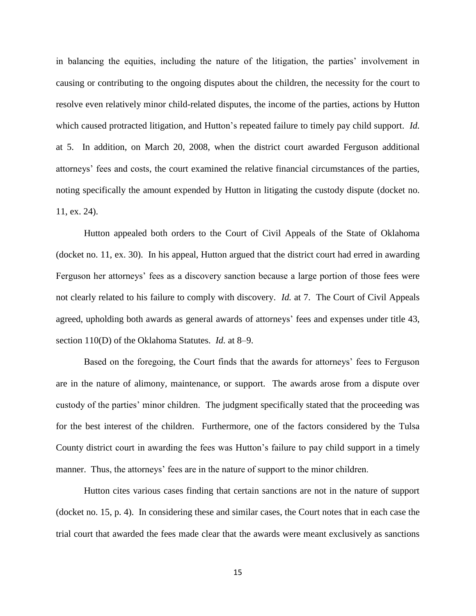in balancing the equities, including the nature of the litigation, the parties' involvement in causing or contributing to the ongoing disputes about the children, the necessity for the court to resolve even relatively minor child-related disputes, the income of the parties, actions by Hutton which caused protracted litigation, and Hutton's repeated failure to timely pay child support. *Id.* at 5. In addition, on March 20, 2008, when the district court awarded Ferguson additional attorneys' fees and costs, the court examined the relative financial circumstances of the parties, noting specifically the amount expended by Hutton in litigating the custody dispute (docket no. 11, ex. 24).

Hutton appealed both orders to the Court of Civil Appeals of the State of Oklahoma (docket no. 11, ex. 30). In his appeal, Hutton argued that the district court had erred in awarding Ferguson her attorneys' fees as a discovery sanction because a large portion of those fees were not clearly related to his failure to comply with discovery. *Id.* at 7. The Court of Civil Appeals agreed, upholding both awards as general awards of attorneys' fees and expenses under title 43, section 110(D) of the Oklahoma Statutes. *Id.* at 8–9.

Based on the foregoing, the Court finds that the awards for attorneys' fees to Ferguson are in the nature of alimony, maintenance, or support. The awards arose from a dispute over custody of the parties' minor children. The judgment specifically stated that the proceeding was for the best interest of the children. Furthermore, one of the factors considered by the Tulsa County district court in awarding the fees was Hutton's failure to pay child support in a timely manner. Thus, the attorneys' fees are in the nature of support to the minor children.

Hutton cites various cases finding that certain sanctions are not in the nature of support (docket no. 15, p. 4). In considering these and similar cases, the Court notes that in each case the trial court that awarded the fees made clear that the awards were meant exclusively as sanctions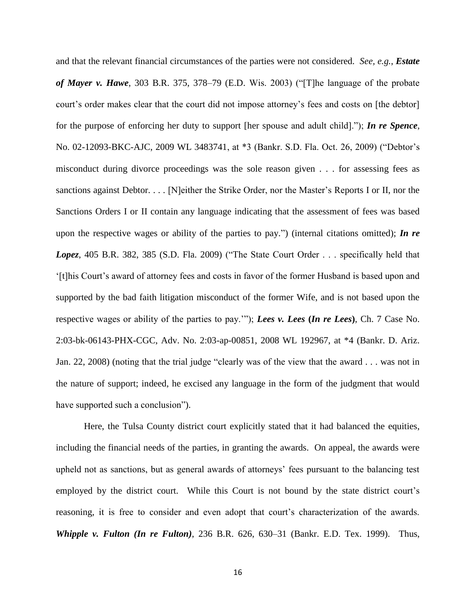and that the relevant financial circumstances of the parties were not considered. *See, e.g.*, *Estate of Mayer v. Hawe*, 303 B.R. 375, 378–79 (E.D. Wis. 2003) ("[T]he language of the probate court's order makes clear that the court did not impose attorney's fees and costs on [the debtor] for the purpose of enforcing her duty to support [her spouse and adult child].‖); *In re Spence*, No. 02-12093-BKC-AJC, 2009 WL 3483741, at \*3 (Bankr. S.D. Fla. Oct. 26, 2009) ("Debtor's misconduct during divorce proceedings was the sole reason given . . . for assessing fees as sanctions against Debtor. . . . [N]either the Strike Order, nor the Master's Reports I or II, nor the Sanctions Orders I or II contain any language indicating that the assessment of fees was based upon the respective wages or ability of the parties to pay.") (internal citations omitted); *In re* Lopez, 405 B.R. 382, 385 (S.D. Fla. 2009) ("The State Court Order . . . specifically held that ‗[t]his Court's award of attorney fees and costs in favor of the former Husband is based upon and supported by the bad faith litigation misconduct of the former Wife, and is not based upon the respective wages or ability of the parties to pay.""); *Lees v. Lees* (*In re Lees*), Ch. 7 Case No. 2:03-bk-06143-PHX-CGC, Adv. No. 2:03-ap-00851, 2008 WL 192967, at \*4 (Bankr. D. Ariz. Jan. 22, 2008) (noting that the trial judge "clearly was of the view that the award . . . was not in the nature of support; indeed, he excised any language in the form of the judgment that would have supported such a conclusion".

Here, the Tulsa County district court explicitly stated that it had balanced the equities, including the financial needs of the parties, in granting the awards. On appeal, the awards were upheld not as sanctions, but as general awards of attorneys' fees pursuant to the balancing test employed by the district court. While this Court is not bound by the state district court's reasoning, it is free to consider and even adopt that court's characterization of the awards. *Whipple v. Fulton (In re Fulton)*, 236 B.R. 626, 630–31 (Bankr. E.D. Tex. 1999). Thus,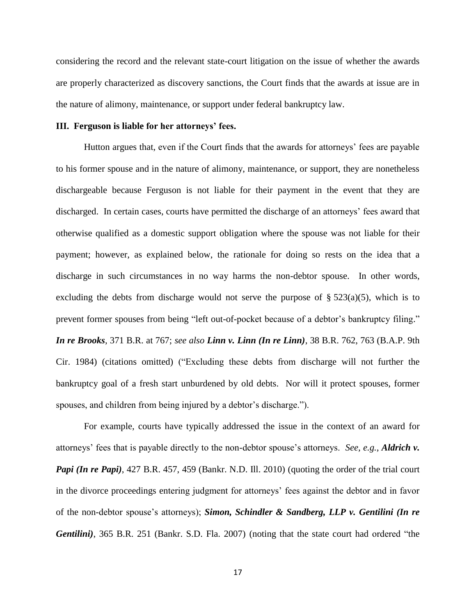considering the record and the relevant state-court litigation on the issue of whether the awards are properly characterized as discovery sanctions, the Court finds that the awards at issue are in the nature of alimony, maintenance, or support under federal bankruptcy law.

## **III. Ferguson is liable for her attorneys' fees.**

Hutton argues that, even if the Court finds that the awards for attorneys' fees are payable to his former spouse and in the nature of alimony, maintenance, or support, they are nonetheless dischargeable because Ferguson is not liable for their payment in the event that they are discharged. In certain cases, courts have permitted the discharge of an attorneys' fees award that otherwise qualified as a domestic support obligation where the spouse was not liable for their payment; however, as explained below, the rationale for doing so rests on the idea that a discharge in such circumstances in no way harms the non-debtor spouse. In other words, excluding the debts from discharge would not serve the purpose of  $\S 523(a)(5)$ , which is to prevent former spouses from being "left out-of-pocket because of a debtor's bankruptcy filing." *In re Brooks*, 371 B.R. at 767; *see also Linn v. Linn (In re Linn)*, 38 B.R. 762, 763 (B.A.P. 9th Cir. 1984) (citations omitted) ("Excluding these debts from discharge will not further the bankruptcy goal of a fresh start unburdened by old debts. Nor will it protect spouses, former spouses, and children from being injured by a debtor's discharge.").

For example, courts have typically addressed the issue in the context of an award for attorneys' fees that is payable directly to the non-debtor spouse's attorneys. *See, e.g.*, *Aldrich v. Papi (In re Papi)*, 427 B.R. 457, 459 (Bankr. N.D. Ill. 2010) (quoting the order of the trial court in the divorce proceedings entering judgment for attorneys' fees against the debtor and in favor of the non-debtor spouse's attorneys); *Simon, Schindler & Sandberg, LLP v. Gentilini (In re Gentilini*), 365 B.R. 251 (Bankr. S.D. Fla. 2007) (noting that the state court had ordered "the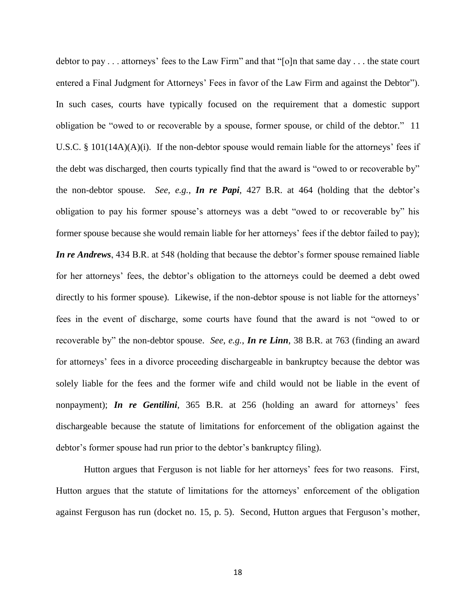debtor to pay  $\dots$  attorneys' fees to the Law Firm" and that "[o]n that same day  $\dots$  the state court entered a Final Judgment for Attorneys' Fees in favor of the Law Firm and against the Debtor"). In such cases, courts have typically focused on the requirement that a domestic support obligation be "owed to or recoverable by a spouse, former spouse, or child of the debtor." 11 U.S.C. § 101(14A)(A)(i). If the non-debtor spouse would remain liable for the attorneys' fees if the debt was discharged, then courts typically find that the award is "owed to or recoverable by" the non-debtor spouse. *See, e.g.*, *In re Papi*, 427 B.R. at 464 (holding that the debtor's obligation to pay his former spouse's attorneys was a debt "owed to or recoverable by" his former spouse because she would remain liable for her attorneys' fees if the debtor failed to pay); *In re Andrews*, 434 B.R. at 548 (holding that because the debtor's former spouse remained liable for her attorneys' fees, the debtor's obligation to the attorneys could be deemed a debt owed directly to his former spouse). Likewise, if the non-debtor spouse is not liable for the attorneys' fees in the event of discharge, some courts have found that the award is not "owed to or recoverable by" the non-debtor spouse. *See, e.g.*, *In re Linn*, 38 B.R. at 763 (finding an award for attorneys' fees in a divorce proceeding dischargeable in bankruptcy because the debtor was solely liable for the fees and the former wife and child would not be liable in the event of nonpayment); *In re Gentilini*, 365 B.R. at 256 (holding an award for attorneys' fees dischargeable because the statute of limitations for enforcement of the obligation against the debtor's former spouse had run prior to the debtor's bankruptcy filing).

Hutton argues that Ferguson is not liable for her attorneys' fees for two reasons. First, Hutton argues that the statute of limitations for the attorneys' enforcement of the obligation against Ferguson has run (docket no. 15, p. 5). Second, Hutton argues that Ferguson's mother,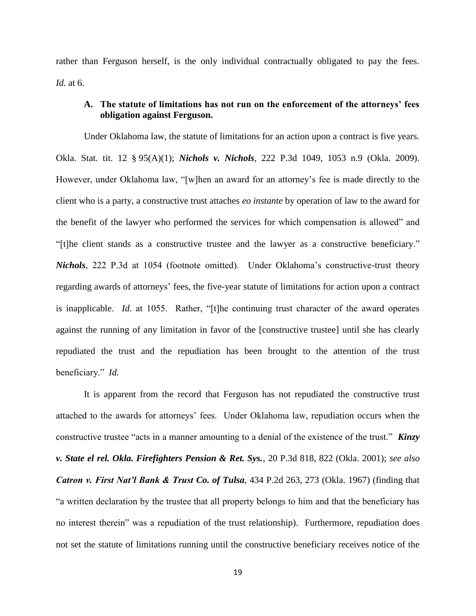rather than Ferguson herself, is the only individual contractually obligated to pay the fees. *Id.* at 6.

# **A. The statute of limitations has not run on the enforcement of the attorneys' fees obligation against Ferguson.**

Under Oklahoma law, the statute of limitations for an action upon a contract is five years. Okla. Stat. tit. 12 § 95(A)(1); *Nichols v. Nichols*, 222 P.3d 1049, 1053 n.9 (Okla. 2009). However, under Oklahoma law, "[w]hen an award for an attorney's fee is made directly to the client who is a party, a constructive trust attaches *eo instante* by operation of law to the award for the benefit of the lawyer who performed the services for which compensation is allowed" and "[t]he client stands as a constructive trustee and the lawyer as a constructive beneficiary." *Nichols*, 222 P.3d at 1054 (footnote omitted). Under Oklahoma's constructive-trust theory regarding awards of attorneys' fees, the five-year statute of limitations for action upon a contract is inapplicable. *Id.* at 1055. Rather, "[t]he continuing trust character of the award operates against the running of any limitation in favor of the [constructive trustee] until she has clearly repudiated the trust and the repudiation has been brought to the attention of the trust beneficiary." *Id.* 

It is apparent from the record that Ferguson has not repudiated the constructive trust attached to the awards for attorneys' fees. Under Oklahoma law, repudiation occurs when the constructive trustee "acts in a manner amounting to a denial of the existence of the trust." *Kinzy v. State el rel. Okla. Firefighters Pension & Ret. Sys.*, 20 P.3d 818, 822 (Okla. 2001); *see also Catron v. First Nat'l Bank & Trust Co. of Tulsa*, 434 P.2d 263, 273 (Okla. 1967) (finding that ―a written declaration by the trustee that all property belongs to him and that the beneficiary has no interest therein" was a repudiation of the trust relationship). Furthermore, repudiation does not set the statute of limitations running until the constructive beneficiary receives notice of the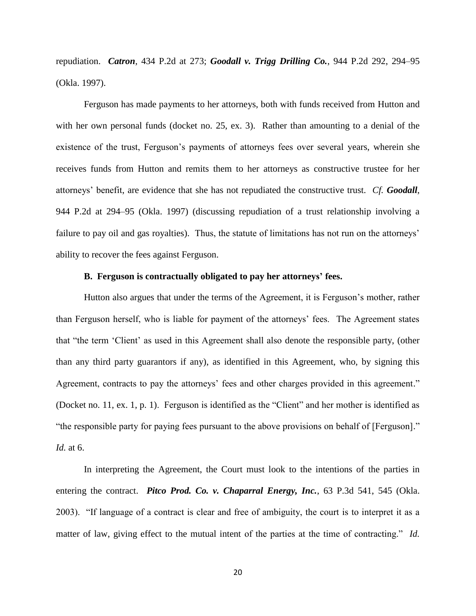repudiation. *Catron*, 434 P.2d at 273; *Goodall v. Trigg Drilling Co.*, 944 P.2d 292, 294–95 (Okla. 1997).

Ferguson has made payments to her attorneys, both with funds received from Hutton and with her own personal funds (docket no. 25, ex. 3). Rather than amounting to a denial of the existence of the trust, Ferguson's payments of attorneys fees over several years, wherein she receives funds from Hutton and remits them to her attorneys as constructive trustee for her attorneys' benefit, are evidence that she has not repudiated the constructive trust. *Cf. Goodall*, 944 P.2d at 294–95 (Okla. 1997) (discussing repudiation of a trust relationship involving a failure to pay oil and gas royalties). Thus, the statute of limitations has not run on the attorneys' ability to recover the fees against Ferguson.

## **B. Ferguson is contractually obligated to pay her attorneys' fees.**

Hutton also argues that under the terms of the Agreement, it is Ferguson's mother, rather than Ferguson herself, who is liable for payment of the attorneys' fees. The Agreement states that "the term 'Client' as used in this Agreement shall also denote the responsible party, (other than any third party guarantors if any), as identified in this Agreement, who, by signing this Agreement, contracts to pay the attorneys' fees and other charges provided in this agreement." (Docket no. 11, ex. 1, p. 1). Ferguson is identified as the "Client" and her mother is identified as "the responsible party for paying fees pursuant to the above provisions on behalf of [Ferguson]." *Id.* at 6.

In interpreting the Agreement, the Court must look to the intentions of the parties in entering the contract. *Pitco Prod. Co. v. Chaparral Energy, Inc.*, 63 P.3d 541, 545 (Okla. 2003). "If language of a contract is clear and free of ambiguity, the court is to interpret it as a matter of law, giving effect to the mutual intent of the parties at the time of contracting." *Id.*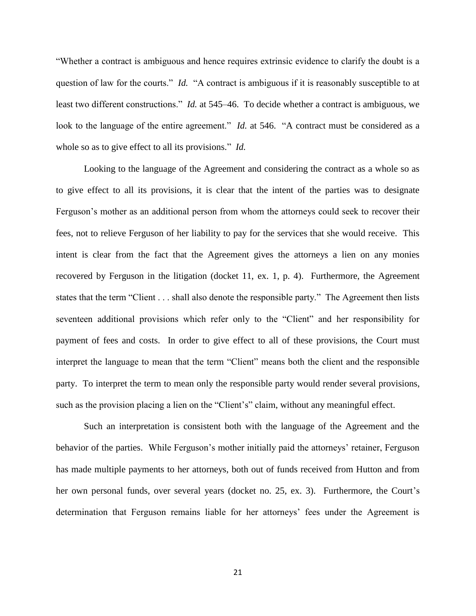―Whether a contract is ambiguous and hence requires extrinsic evidence to clarify the doubt is a question of law for the courts." *Id.* "A contract is ambiguous if it is reasonably susceptible to at least two different constructions." *Id.* at 545–46. To decide whether a contract is ambiguous, we look to the language of the entire agreement." *Id.* at 546. "A contract must be considered as a whole so as to give effect to all its provisions." *Id.* 

Looking to the language of the Agreement and considering the contract as a whole so as to give effect to all its provisions, it is clear that the intent of the parties was to designate Ferguson's mother as an additional person from whom the attorneys could seek to recover their fees, not to relieve Ferguson of her liability to pay for the services that she would receive. This intent is clear from the fact that the Agreement gives the attorneys a lien on any monies recovered by Ferguson in the litigation (docket 11, ex. 1, p. 4). Furthermore, the Agreement states that the term "Client . . . shall also denote the responsible party." The Agreement then lists seventeen additional provisions which refer only to the "Client" and her responsibility for payment of fees and costs. In order to give effect to all of these provisions, the Court must interpret the language to mean that the term "Client" means both the client and the responsible party. To interpret the term to mean only the responsible party would render several provisions, such as the provision placing a lien on the "Client's" claim, without any meaningful effect.

Such an interpretation is consistent both with the language of the Agreement and the behavior of the parties. While Ferguson's mother initially paid the attorneys' retainer, Ferguson has made multiple payments to her attorneys, both out of funds received from Hutton and from her own personal funds, over several years (docket no. 25, ex. 3). Furthermore, the Court's determination that Ferguson remains liable for her attorneys' fees under the Agreement is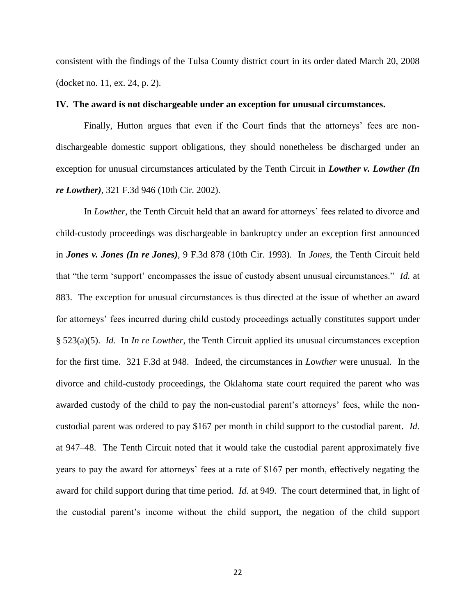consistent with the findings of the Tulsa County district court in its order dated March 20, 2008 (docket no. 11, ex. 24, p. 2).

## **IV. The award is not dischargeable under an exception for unusual circumstances.**

Finally, Hutton argues that even if the Court finds that the attorneys' fees are nondischargeable domestic support obligations, they should nonetheless be discharged under an exception for unusual circumstances articulated by the Tenth Circuit in *Lowther v. Lowther (In re Lowther)*, 321 F.3d 946 (10th Cir. 2002).

In *Lowther*, the Tenth Circuit held that an award for attorneys' fees related to divorce and child-custody proceedings was dischargeable in bankruptcy under an exception first announced in *Jones v. Jones (In re Jones)*, 9 F.3d 878 (10th Cir. 1993). In *Jones*, the Tenth Circuit held that "the term 'support' encompasses the issue of custody absent unusual circumstances." *Id.* at 883. The exception for unusual circumstances is thus directed at the issue of whether an award for attorneys' fees incurred during child custody proceedings actually constitutes support under § 523(a)(5). *Id.* In *In re Lowther*, the Tenth Circuit applied its unusual circumstances exception for the first time. 321 F.3d at 948. Indeed, the circumstances in *Lowther* were unusual. In the divorce and child-custody proceedings, the Oklahoma state court required the parent who was awarded custody of the child to pay the non-custodial parent's attorneys' fees, while the noncustodial parent was ordered to pay \$167 per month in child support to the custodial parent. *Id.* at 947–48. The Tenth Circuit noted that it would take the custodial parent approximately five years to pay the award for attorneys' fees at a rate of \$167 per month, effectively negating the award for child support during that time period. *Id.* at 949. The court determined that, in light of the custodial parent's income without the child support, the negation of the child support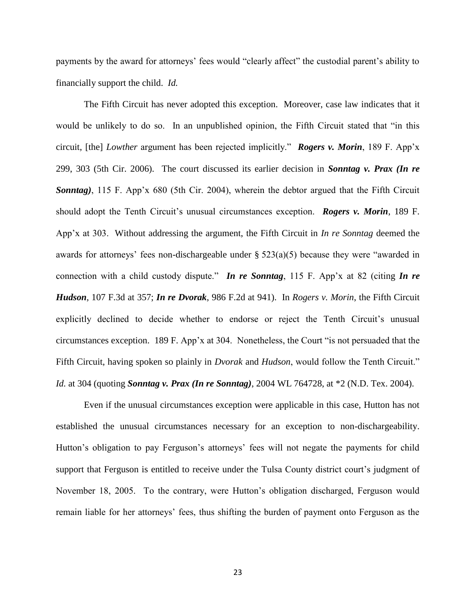payments by the award for attorneys' fees would "clearly affect" the custodial parent's ability to financially support the child. *Id.*

The Fifth Circuit has never adopted this exception. Moreover, case law indicates that it would be unlikely to do so. In an unpublished opinion, the Fifth Circuit stated that "in this circuit, [the] *Lowther* argument has been rejected implicitly.‖ *Rogers v. Morin*, 189 F. App'x 299, 303 (5th Cir. 2006). The court discussed its earlier decision in *Sonntag v. Prax (In re Sonntag)*, 115 F. App'x 680 (5th Cir. 2004), wherein the debtor argued that the Fifth Circuit should adopt the Tenth Circuit's unusual circumstances exception. *Rogers v. Morin*, 189 F. App'x at 303. Without addressing the argument, the Fifth Circuit in *In re Sonntag* deemed the awards for attorneys' fees non-dischargeable under  $\S 523(a)(5)$  because they were "awarded in connection with a child custody dispute." *In re Sonntag*, 115 F. App'x at 82 (citing *In re Hudson*, 107 F.3d at 357; *In re Dvorak*, 986 F.2d at 941). In *Rogers v. Morin*, the Fifth Circuit explicitly declined to decide whether to endorse or reject the Tenth Circuit's unusual circumstances exception. 189 F. App'x at  $304$ . Nonetheless, the Court "is not persuaded that the Fifth Circuit, having spoken so plainly in *Dvorak* and *Hudson*, would follow the Tenth Circuit." *Id.* at 304 (quoting *Sonntag v. Prax (In re Sonntag)*, 2004 WL 764728, at \*2 (N.D. Tex. 2004).

Even if the unusual circumstances exception were applicable in this case, Hutton has not established the unusual circumstances necessary for an exception to non-dischargeability. Hutton's obligation to pay Ferguson's attorneys' fees will not negate the payments for child support that Ferguson is entitled to receive under the Tulsa County district court's judgment of November 18, 2005. To the contrary, were Hutton's obligation discharged, Ferguson would remain liable for her attorneys' fees, thus shifting the burden of payment onto Ferguson as the